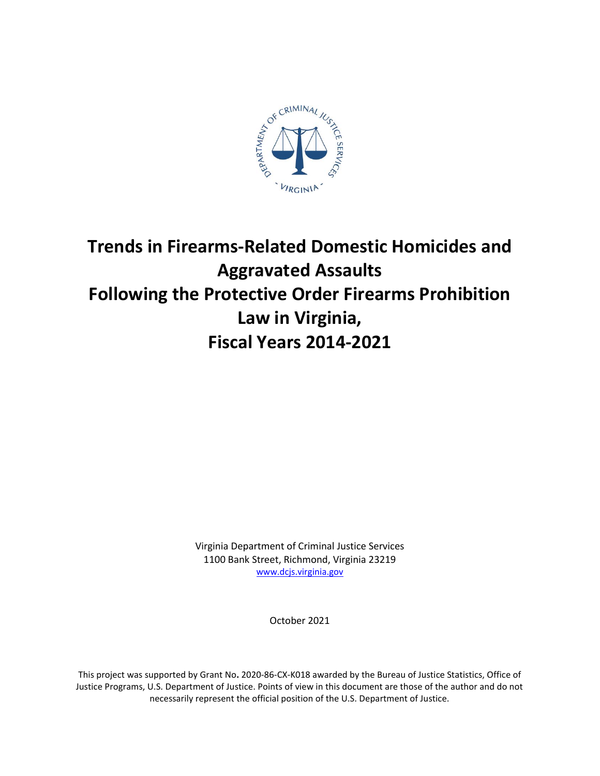

# **Trends in Firearms-Related Domestic Homicides and Aggravated Assaults Following the Protective Order Firearms Prohibition Law in Virginia, Fiscal Years 2014-2021**

Virginia Department of Criminal Justice Services 1100 Bank Street, Richmond, Virginia 23219 [www.dcjs.virginia.gov](https://www.dcjs.virginia.gov/)

October 2021

This project was supported by Grant No**.** 2020-86-CX-K018 awarded by the Bureau of Justice Statistics, Office of Justice Programs, U.S. Department of Justice. Points of view in this document are those of the author and do not necessarily represent the official position of the U.S. Department of Justice.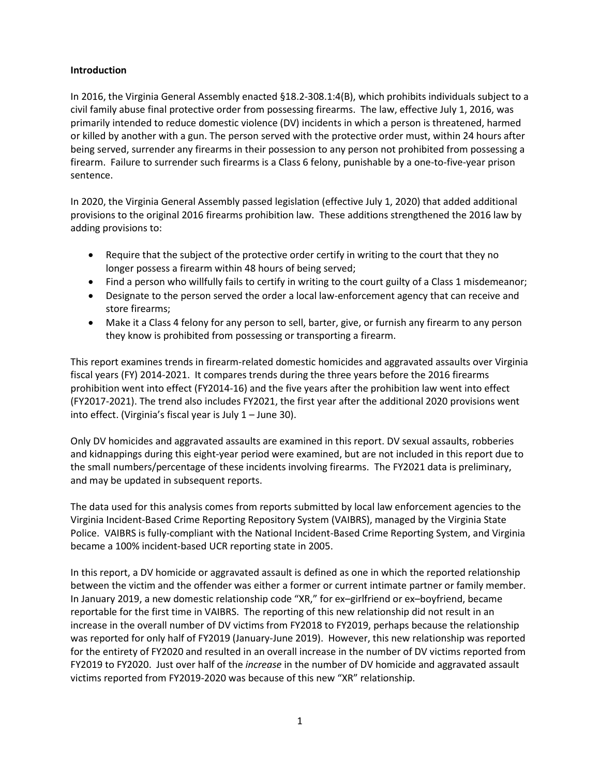### **Introduction**

In 2016, the Virginia General Assembly enacted §18.2-308.1:4(B), which prohibits individuals subject to a civil family abuse final protective order from possessing firearms. The law, effective July 1, 2016, was primarily intended to reduce domestic violence (DV) incidents in which a person is threatened, harmed or killed by another with a gun. The person served with the protective order must, within 24 hours after being served, surrender any firearms in their possession to any person not prohibited from possessing a firearm. Failure to surrender such firearms is a Class 6 felony, punishable by a one-to-five-year prison sentence.

In 2020, the Virginia General Assembly passed legislation (effective July 1, 2020) that added additional provisions to the original 2016 firearms prohibition law. These additions strengthened the 2016 law by adding provisions to:

- Require that the subject of the protective order certify in writing to the court that they no longer possess a firearm within 48 hours of being served;
- Find a person who willfully fails to certify in writing to the court guilty of a Class 1 misdemeanor;
- Designate to the person served the order a local law-enforcement agency that can receive and store firearms;
- Make it a Class 4 felony for any person to sell, barter, give, or furnish any firearm to any person they know is prohibited from possessing or transporting a firearm.

This report examines trends in firearm-related domestic homicides and aggravated assaults over Virginia fiscal years (FY) 2014-2021. It compares trends during the three years before the 2016 firearms prohibition went into effect (FY2014-16) and the five years after the prohibition law went into effect (FY2017-2021). The trend also includes FY2021, the first year after the additional 2020 provisions went into effect. (Virginia's fiscal year is July 1 – June 30).

Only DV homicides and aggravated assaults are examined in this report. DV sexual assaults, robberies and kidnappings during this eight-year period were examined, but are not included in this report due to the small numbers/percentage of these incidents involving firearms. The FY2021 data is preliminary, and may be updated in subsequent reports.

The data used for this analysis comes from reports submitted by local law enforcement agencies to the Virginia Incident-Based Crime Reporting Repository System (VAIBRS), managed by the Virginia State Police. VAIBRS is fully-compliant with the National Incident-Based Crime Reporting System, and Virginia became a 100% incident-based UCR reporting state in 2005.

In this report, a DV homicide or aggravated assault is defined as one in which the reported relationship between the victim and the offender was either a former or current intimate partner or family member. In January 2019, a new domestic relationship code "XR," for ex–girlfriend or ex–boyfriend, became reportable for the first time in VAIBRS. The reporting of this new relationship did not result in an increase in the overall number of DV victims from FY2018 to FY2019, perhaps because the relationship was reported for only half of FY2019 (January-June 2019). However, this new relationship was reported for the entirety of FY2020 and resulted in an overall increase in the number of DV victims reported from FY2019 to FY2020. Just over half of the *increase* in the number of DV homicide and aggravated assault victims reported from FY2019-2020 was because of this new "XR" relationship.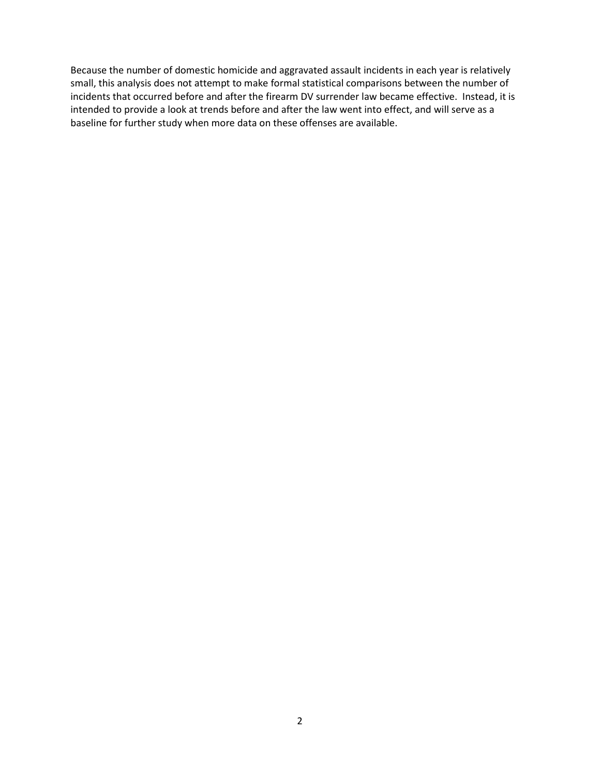Because the number of domestic homicide and aggravated assault incidents in each year is relatively small, this analysis does not attempt to make formal statistical comparisons between the number of incidents that occurred before and after the firearm DV surrender law became effective. Instead, it is intended to provide a look at trends before and after the law went into effect, and will serve as a baseline for further study when more data on these offenses are available.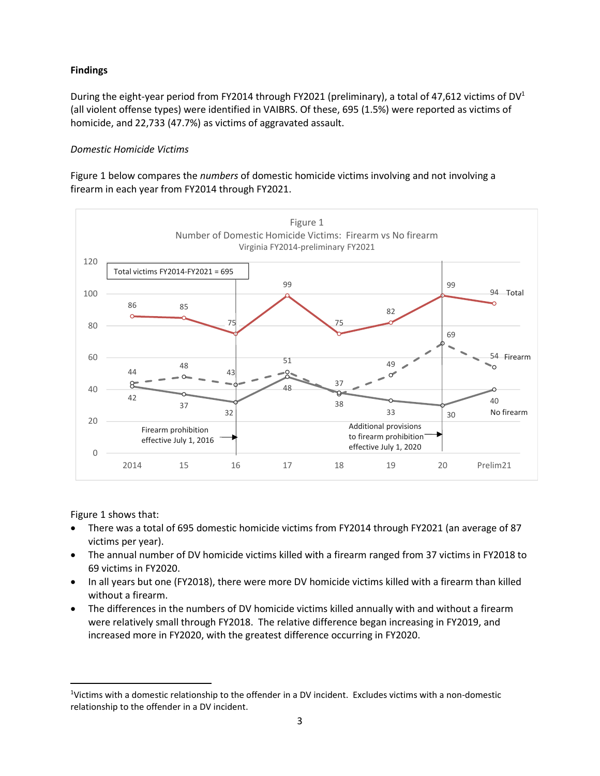## **Findings**

During the eight-year period from FY2014 through FY2021 (preliminary), a total of 47,612 victims of DV<sup>1</sup> (all violent offense types) were identified in VAIBRS. Of these, 695 (1.5%) were reported as victims of homicide, and 22,733 (47.7%) as victims of aggravated assault.

### *Domestic Homicide Victims*

Figure 1 below compares the *numbers* of domestic homicide victims involving and not involving a firearm in each year from FY2014 through FY2021.



Figure 1 shows that:

 $\overline{\phantom{a}}$ 

- There was a total of 695 domestic homicide victims from FY2014 through FY2021 (an average of 87 victims per year).
- The annual number of DV homicide victims killed with a firearm ranged from 37 victims in FY2018 to 69 victims in FY2020.
- In all years but one (FY2018), there were more DV homicide victims killed with a firearm than killed without a firearm.
- The differences in the numbers of DV homicide victims killed annually with and without a firearm were relatively small through FY2018. The relative difference began increasing in FY2019, and increased more in FY2020, with the greatest difference occurring in FY2020.

<sup>1</sup>Victims with a domestic relationship to the offender in a DV incident. Excludes victims with a non-domestic relationship to the offender in a DV incident.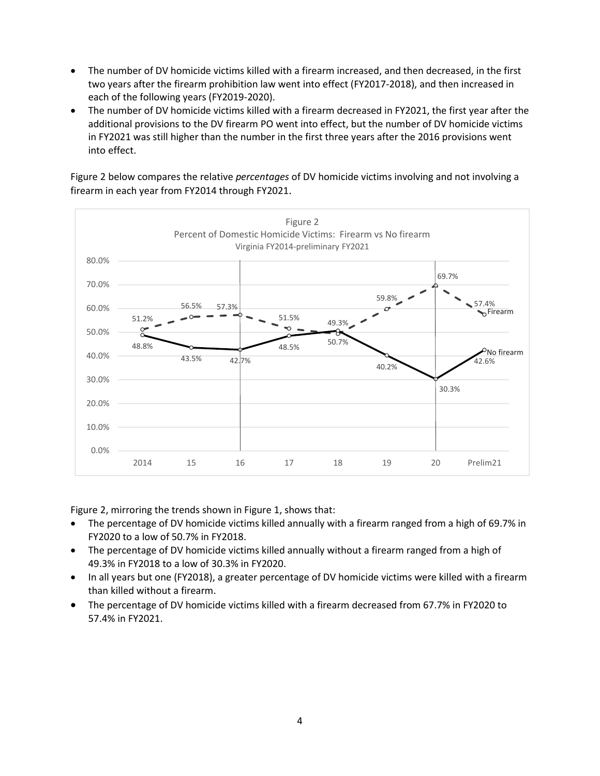- The number of DV homicide victims killed with a firearm increased, and then decreased, in the first two years after the firearm prohibition law went into effect (FY2017-2018), and then increased in each of the following years (FY2019-2020).
- The number of DV homicide victims killed with a firearm decreased in FY2021, the first year after the additional provisions to the DV firearm PO went into effect, but the number of DV homicide victims in FY2021 was still higher than the number in the first three years after the 2016 provisions went into effect.

Figure 2 below compares the relative *percentages* of DV homicide victims involving and not involving a firearm in each year from FY2014 through FY2021.



Figure 2, mirroring the trends shown in Figure 1, shows that:

- The percentage of DV homicide victims killed annually with a firearm ranged from a high of 69.7% in FY2020 to a low of 50.7% in FY2018.
- The percentage of DV homicide victims killed annually without a firearm ranged from a high of 49.3% in FY2018 to a low of 30.3% in FY2020.
- In all years but one (FY2018), a greater percentage of DV homicide victims were killed with a firearm than killed without a firearm.
- The percentage of DV homicide victims killed with a firearm decreased from 67.7% in FY2020 to 57.4% in FY2021.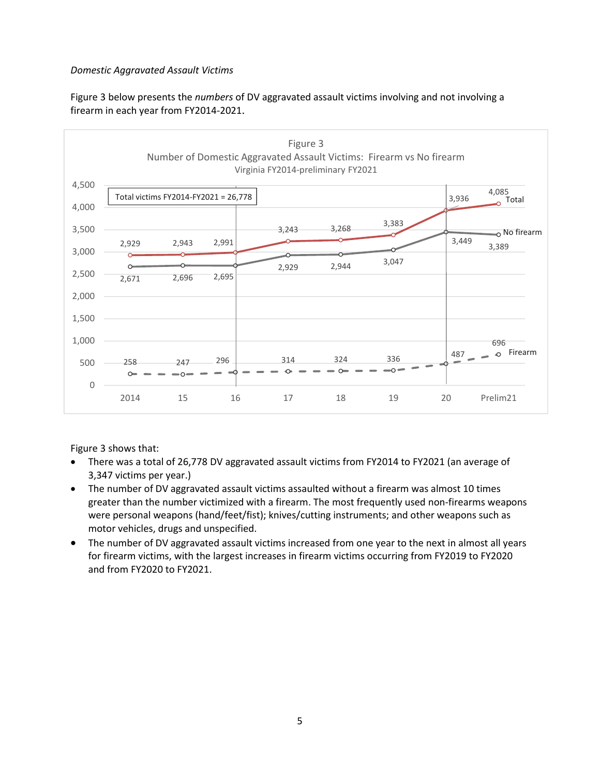## *Domestic Aggravated Assault Victims*

Figure 3 below presents the *numbers* of DV aggravated assault victims involving and not involving a firearm in each year from FY2014-2021.



Figure 3 shows that:

- There was a total of 26,778 DV aggravated assault victims from FY2014 to FY2021 (an average of 3,347 victims per year.)
- The number of DV aggravated assault victims assaulted without a firearm was almost 10 times greater than the number victimized with a firearm. The most frequently used non-firearms weapons were personal weapons (hand/feet/fist); knives/cutting instruments; and other weapons such as motor vehicles, drugs and unspecified.
- The number of DV aggravated assault victims increased from one year to the next in almost all years for firearm victims, with the largest increases in firearm victims occurring from FY2019 to FY2020 and from FY2020 to FY2021.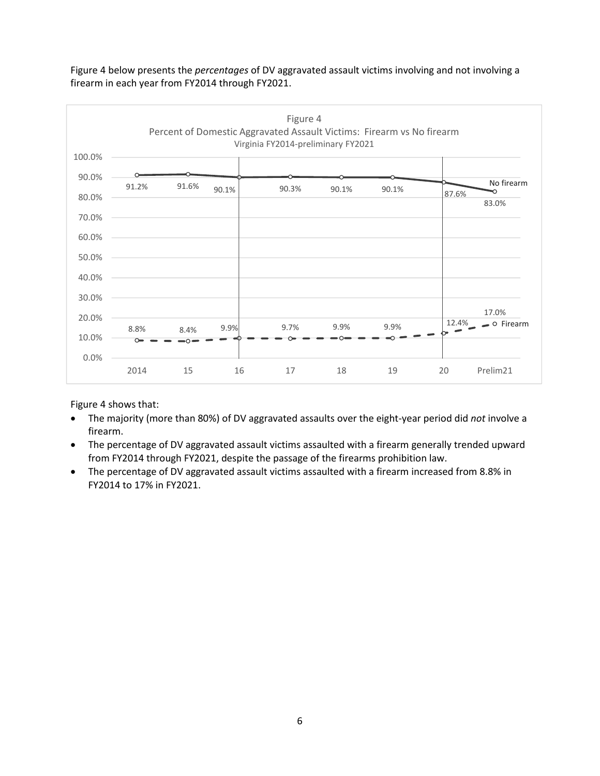

Figure 4 below presents the *percentages* of DV aggravated assault victims involving and not involving a firearm in each year from FY2014 through FY2021.

Figure 4 shows that:

- The majority (more than 80%) of DV aggravated assaults over the eight-year period did *not* involve a firearm.
- The percentage of DV aggravated assault victims assaulted with a firearm generally trended upward from FY2014 through FY2021, despite the passage of the firearms prohibition law.
- The percentage of DV aggravated assault victims assaulted with a firearm increased from 8.8% in FY2014 to 17% in FY2021.